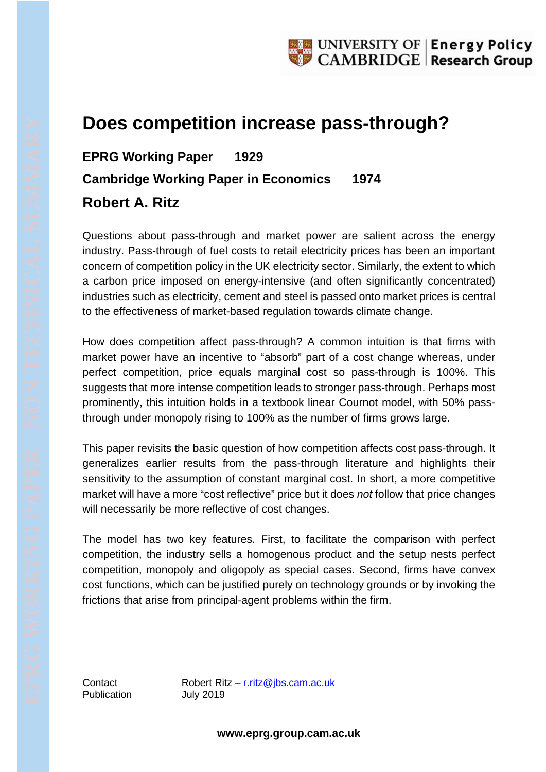## **Does competition increase pass-through?**

## **EPRG Working Paper 1929 Cambridge Working Paper in Economics 1974 Robert A. Ritz**

Questions about pass-through and market power are salient across the energy industry. Pass-through of fuel costs to retail electricity prices has been an important concern of competition policy in the UK electricity sector. Similarly, the extent to which a carbon price imposed on energy-intensive (and often significantly concentrated) industries such as electricity, cement and steel is passed onto market prices is central to the effectiveness of market-based regulation towards climate change.

How does competition affect pass-through? A common intuition is that firms with market power have an incentive to "absorb" part of a cost change whereas, under perfect competition, price equals marginal cost so pass-through is 100%. This suggests that more intense competition leads to stronger pass-through. Perhaps most prominently, this intuition holds in a textbook linear Cournot model, with 50% passthrough under monopoly rising to 100% as the number of firms grows large.

This paper revisits the basic question of how competition affects cost pass-through. It generalizes earlier results from the pass-through literature and highlights their sensitivity to the assumption of constant marginal cost. In short, a more competitive market will have a more "cost reflective" price but it does *not* follow that price changes will necessarily be more reflective of cost changes.

The model has two key features. First, to facilitate the comparison with perfect competition, the industry sells a homogenous product and the setup nests perfect competition, monopoly and oligopoly as special cases. Second, firms have convex cost functions, which can be justified purely on technology grounds or by invoking the frictions that arise from principal-agent problems within the firm.

Publication July 2019

Contact Robert Ritz – [r.ritz@jbs.cam.ac.uk](mailto:r.ritz@jbs.cam.ac.uk)